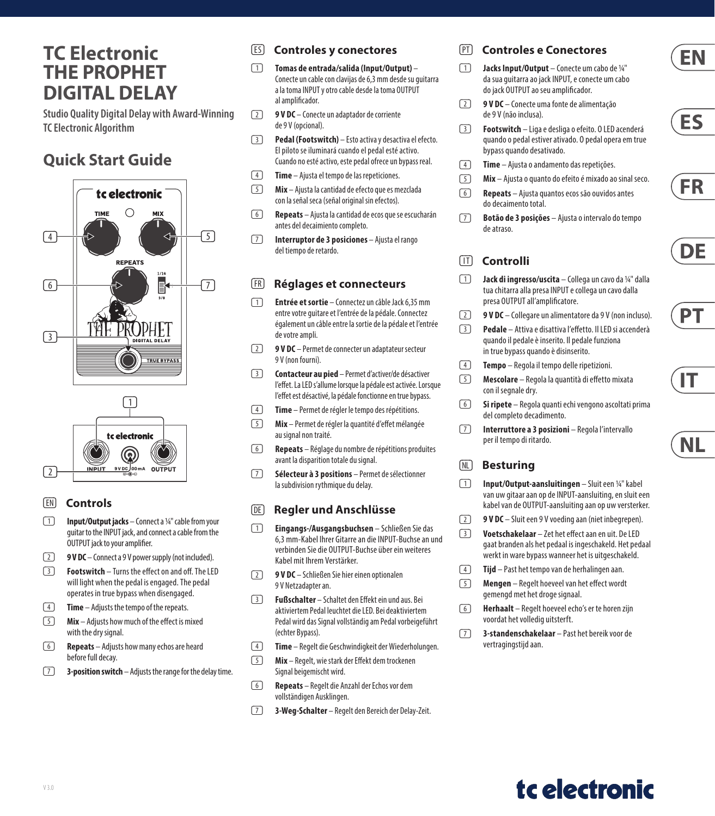## **TC Electronic THE PROPHET DIGITAL DELAY**

**Studio Quality Digital Delay with Award-Winning TC Electronic Algorithm**

### **Quick Start Guide**





### (EN) **Controls**

- (1) **Input/Output jacks** Connect a 1/4" cable from your guitar to the INPUT jack, and connect a cable from the OUTPUT jack to your amplifier.
- (2) **9 V DC** Connect a 9 V power supply (not included).
- (3) **Footswitch** Turns the effect on and off. The LED will light when the pedal is engaged. The pedal operates in true bypass when disengaged.
- (4) **Time** Adjusts the tempo of the repeats.
- (5) **Mix** Adjusts how much of the effect is mixed with the dry signal.
- (6) **Repeats** Adjusts how many echos are heard before full decay.
- (7) **3-position switch** Adjusts the range for the delay time.

### (ES) **Controles y conectores**

- (1) **Tomas de entrada/salida (Input/Output)** Conecte un cable con clavijas de 6,3 mm desde su guitarra a la toma INPUT y otro cable desde la toma OUTPUT al amplificador.
- (2) **9 V DC** Conecte un adaptador de corriente de 9 V (opcional).
- (3) **Pedal (Footswitch)**  Esto activa y desactiva el efecto. El piloto se iluminará cuando el pedal esté activo. Cuando no esté activo, este pedal ofrece un bypass real.
- (4) **Time** Ajusta el tempo de las repeticiones.
- (5) **Mix** Ajusta la cantidad de efecto que es mezclada con la señal seca (señal original sin efectos).
- (6) **Repeats** Ajusta la cantidad de ecos que se escucharán antes del decaimiento completo.
- (7) **Interruptor de 3 posiciones** Ajusta el rango del tiempo de retardo.

### (FR) **Réglages et connecteurs**

- (1) **Entrée et sortie** Connectez un câble Jack 6,35 mm entre votre guitare et l'entrée de la pédale. Connectez également un câble entre la sortie de la pédale et l'entrée de votre ampli.
- (2) **9 V DC**  Permet de connecter un adaptateur secteur 9 V (non fourni).
- (3) **Contacteur au pied** Permet d'activer/de désactiver l'effet. La LED s'allume lorsque la pédale est activée. Lorsque l'effet est désactivé, la pédale fonctionne en true bypass.
- (4) **Time** Permet de régler le tempo des répétitions.
- (5) **Mix** Permet de régler la quantité d'effet mélangée au signal non traité.
- (6) **Repeats** Réglage du nombre de répétitions produites avant la disparition totale du signal.
- (7) **Sélecteur à 3 positions** Permet de sélectionner la subdivision rythmique du delay.

### (DE) **Regler und Anschlüsse**

- (1) **Eingangs-/Ausgangsbuchsen** Schließen Sie das 6,3 mm-Kabel Ihrer Gitarre an die INPUT-Buchse an und verbinden Sie die OUTPUT-Buchse über ein weiteres Kabel mit Ihrem Verstärker.
- (2) **9 V DC**  Schließen Sie hier einen optionalen 9 V Netzadapter an.
- (3) **Fußschalter** Schaltet den Effekt ein und aus. Bei aktiviertem Pedal leuchtet die LED. Bei deaktiviertem Pedal wird das Signal vollständig am Pedal vorbeigeführt (echter Bypass).
- (4) **Time** Regelt die Geschwindigkeit der Wiederholungen.
- (5) **Mix** Regelt, wie stark der Effekt dem trockenen Signal beigemischt wird.
- (6) **Repeats** Regelt die Anzahl der Echos vor dem vollständigen Ausklingen.
- (7) **3-Weg-Schalter** Regelt den Bereich der Delay-Zeit.

### (PT) **Controles e Conectores**

- (1) **Jacks Input/Output** Conecte um cabo de 1/4" da sua guitarra ao jack INPUT, e conecte um cabo do jack OUTPUT ao seu amplificador.
- (2) **9 V DC** Conecte uma fonte de alimentação de 9 V (não inclusa).
- (3) **Footswitch** Liga e desliga o efeito. O LED acenderá quando o pedal estiver ativado. O pedal opera em true bypass quando desativado.
- (4) **Time** Ajusta o andamento das repetições.
- (5) **Mix** Ajusta o quanto do efeito é mixado ao sinal seco.
- (6) **Repeats** Ajusta quantos ecos são ouvidos antes do decaimento total.
- (7) **Botão de 3 posições** Ajusta o intervalo do tempo de atraso.

### (IT) **Controlli**

- (1) **Jack di ingresso/uscita** Collega un cavo da 1/4" dalla tua chitarra alla presa INPUT e collega un cavo dalla presa OUTPUT all'amplificatore.
- (2) **9 V DC**  Collegare un alimentatore da 9 V (non incluso).
- (3) **Pedale** Attiva e disattiva l'effetto. Il LED si accenderà quando il pedale è inserito. Il pedale funziona in true bypass quando è disinserito.
- (4) **Tempo** Regola il tempo delle ripetizioni.
- (5) **Mescolare** Regola la quantità di effetto mixata con il segnale dry.
- (6) **Si ripete** Regola quanti echi vengono ascoltati prima del completo decadimento.
- (7) **Interruttore a 3 posizioni**  Regola l'intervallo per il tempo di ritardo.

### (NL) **Besturing**

- (1) **Input/Output-aansluitingen** Sluit een 1/4" kabel van uw gitaar aan op de INPUT-aansluiting, en sluit een kabel van de OUTPUT-aansluiting aan op uw versterker.
- (2) **9 V DC** Sluit een 9 V voeding aan (niet inbegrepen).
- (3) **Voetschakelaar** Zet het effect aan en uit. De LED gaat branden als het pedaal is ingeschakeld. Het pedaal werkt in ware bypass wanneer het is uitgeschakeld.
- (4) **Tijd** Past het tempo van de herhalingen aan.
- (5) **Mengen** Regelt hoeveel van het effect wordt gemengd met het droge signaal.
- (6) **Herhaalt** Regelt hoeveel echo's er te horen zijn voordat het volledig uitsterft.
- (7) **3-standenschakelaar** Past het bereik voor de vertragingstijd aan.



**EN** 









ΝL

## tc electronic

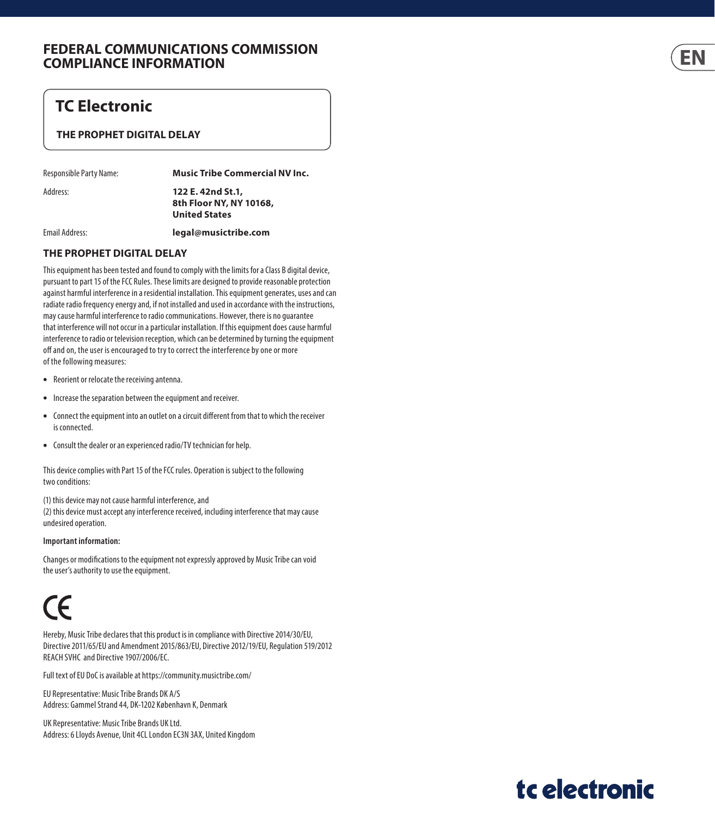### **FEDERAL COMMUNICATIONS COMMISSION COMPLIANCE INFORMATION**

### **TC Electronic**

### **THE PROPHET DIGITAL DELAY**

Responsible Party Name: **Music Tribe Commercial NV Inc.**

Address: **122 E. 42nd St.1, 8th Floor NY, NY 10168, United States**

Email Address: **legal@musictribe.com**

#### **THE PROPHET DIGITAL DELAY**

This equipment has been tested and found to comply with the limits for a Class B digital device, pursuant to part 15 of the FCC Rules. These limits are designed to provide reasonable protection against harmful interference in a residential installation. This equipment generates, uses and can radiate radio frequency energy and, if not installed and used in accordance with the instructions, may cause harmful interference to radio communications. However, there is no guarantee that interference will not occur in a particular installation. If this equipment does cause harmful interference to radio or television reception, which can be determined by turning the equipment off and on, the user is encouraged to try to correct the interference by one or more of the following measures:

- Reorient or relocate the receiving antenna.
- Increase the separation between the equipment and receiver.
- Connect the equipment into an outlet on a circuit different from that to which the receiver is connected.
- Consult the dealer or an experienced radio/TV technician for help.

This device complies with Part 15 of the FCC rules. Operation is subject to the following two conditions:

(1) this device may not cause harmful interference, and (2) this device must accept any interference received, including interference that may cause undesired operation.

#### **Important information:**

Changes or modifications to the equipment not expressly approved by Music Tribe can void the user's authority to use the equipment.

# $\epsilon$

Hereby, Music Tribe declares that this product is in compliance with Directive 2014/30/EU, Directive 2011/65/EU and Amendment 2015/863/EU, Directive 2012/19/EU, Regulation 519/2012 REACH SVHC and Directive 1907/2006/EC.

Full text of EU DoC is available at https://community.musictribe.com/

EU Representative: Music Tribe Brands DK A/S Address: Gammel Strand 44, DK-1202 København K, Denmark

UK Representative: Music Tribe Brands UK Ltd. Address: 6 Lloyds Avenue, Unit 4CL London EC3N 3AX, United Kingdom =N